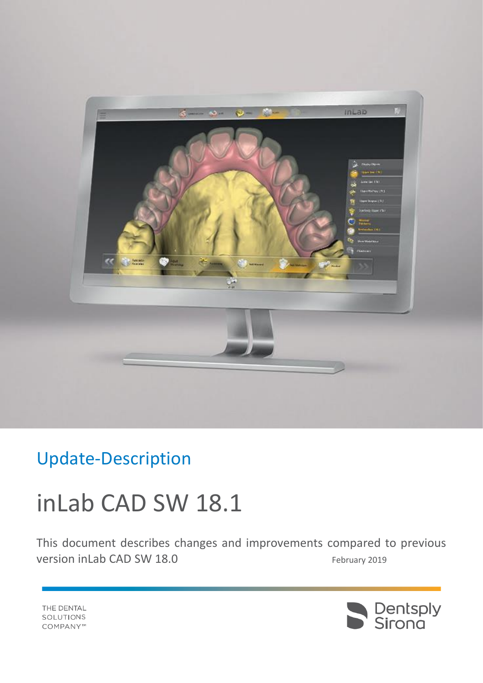

## Update-Description

# inLab CAD SW 18.1

This document describes changes and improvements compared to previous version inLab CAD SW 18.0 February 2019



THE DENTAL SOLUTIONS COMPANY™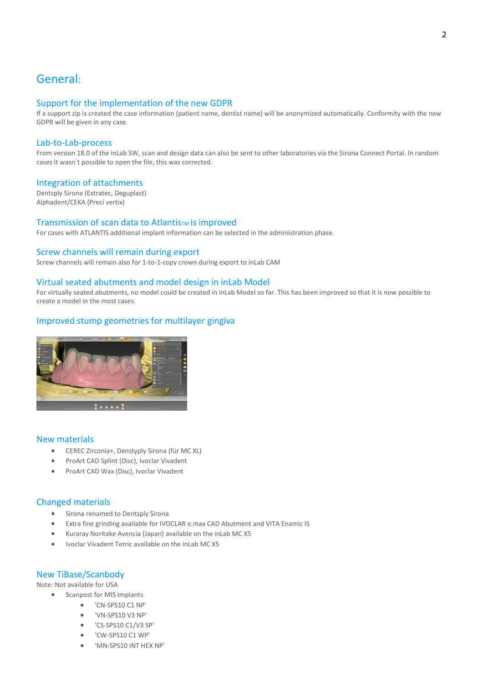## General:

#### Support for the implementation of the new GDPR

If a support zip is created the case information (patient name, dentist name) will be anonymized automatically. Conformity with the new GDPR will be given in any case.

#### Lab-to-Lab-process

From version 18.0 of the inLab SW, scan and design data can also be sent to other laboratories via the Sirona Connect Portal. In random cases it wasn´t possible to open the file, this was corrected.

#### Integration of attachments

Dentsply Sirona (Extratec, Deguplast) Alphadent/CEKA (Preci vertix)

#### Transmission of scan data to Atlantis<sub>TM</sub> is improved

For cases with ATLANTIS additional implant information can be selected in the administration phase.

#### Screw channels will remain during export

Screw channels will remain also for 1-to-1-copy crown during export to inLab CAM

#### Virtual seated abutments and model design in inLab Model

For virtually seated abutments, no model could be created in inLab Model so far. This has been improved so that it is now possible to create a model in the most cases.

#### Improved stump geometries for multilayer gingiva



#### New materials

- CEREC Zirconia+, Denstyply Sirona (für MC XL)
- ProArt CAD Splint (Disc), Ivoclar Vivadent
- ProArt CAD Wax (Disc), Ivoclar Vivadent

#### Changed materials

- Sirona renamed to Dentsply Sirona
- Extra fine grinding available for IVOCLAR e.max CAD Abutment and VITA Enamic IS
- Kuraray Noritake Avencia (Japan) available on the inLab MC X5
- Ivoclar Vivadent Tetric available on the inLab MC X5

#### New TiBase/Scanbody

Note: Not available for USA

- Scanpost for MIS Implants
	- 'CN-SPS10 C1 NP'
	- 'VN-SPS10 V3 NP'
	- 'CS-SPS10 C1/V3 SP'
	- 'CW-SPS10 C1 WP'
	- 'MN-SPS10 INT HEX NP'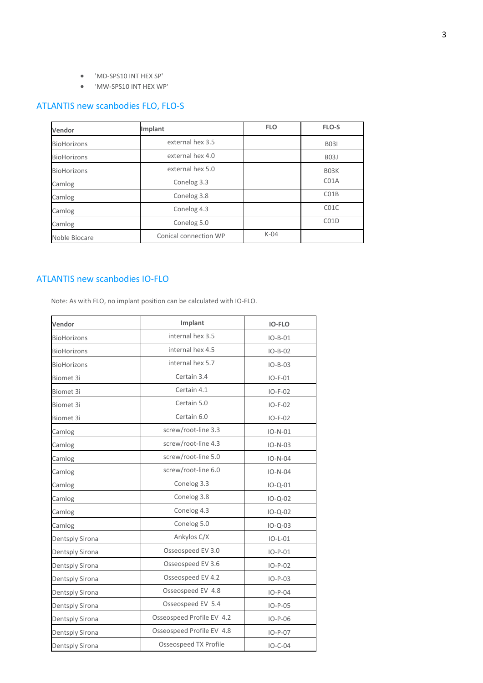- 'MD-SPS10 INT HEX SP'
- 'MW-SPS10 INT HEX WP'

### ATLANTIS new scanbodies FLO, FLO-S

| Vendor             | Implant               | <b>FLO</b> | FLO-S                         |
|--------------------|-----------------------|------------|-------------------------------|
| <b>BioHorizons</b> | external hex 3.5      |            | <b>B031</b>                   |
| <b>BioHorizons</b> | external hex 4.0      |            | B <sub>03</sub> J             |
| <b>BioHorizons</b> | external hex 5.0      |            | B <sub>0</sub> 3 <sub>K</sub> |
| Camlog             | Conelog 3.3           |            | C <sub>0</sub> 1A             |
| Camlog             | Conelog 3.8           |            | CO1B                          |
| Camlog             | Conelog 4.3           |            | C <sub>0</sub> 1C             |
| Camlog             | Conelog 5.0           |            | CO1D                          |
| Noble Biocare      | Conical connection WP | $K-04$     |                               |

 $\overline{\phantom{0}}$ 

#### ATLANTIS new scanbodies IO-FLO

Note: As with FLO, no implant position can be calculated with IO-FLO.

| Vendor             | Implant                   | <b>IO-FLO</b> |
|--------------------|---------------------------|---------------|
| <b>BioHorizons</b> | internal hex 3.5          | $IO-B-01$     |
| <b>BioHorizons</b> | internal hex 4.5          | $IO-B-02$     |
| <b>BioHorizons</b> | internal hex 5.7          | $IO-B-03$     |
| Biomet 3i          | Certain 3.4               | $IO-F-01$     |
| Biomet 3i          | Certain 4.1               | $IO-F-02$     |
| Biomet 3i          | Certain 5.0               | $IO-F-02$     |
| Biomet 3i          | Certain 6.0               | $IO-F-02$     |
| Camlog             | screw/root-line 3.3       | $IO-N-01$     |
| Camlog             | screw/root-line 4.3       | $IO-N-03$     |
| Camlog             | screw/root-line 5.0       | $IO-N-04$     |
| Camlog             | screw/root-line 6.0       | $IO-N-04$     |
| Camlog             | Conelog 3.3               | $IO - Q - 01$ |
| Camlog             | Conelog 3.8               | $IO - Q - 02$ |
| Camlog             | Conelog 4.3               | $IO - Q - 02$ |
| Camlog             | Conelog 5.0               | $IO-Q-03$     |
| Dentsply Sirona    | Ankylos C/X               | $IO-L-01$     |
| Dentsply Sirona    | Osseospeed EV 3.0         | $IO-P-01$     |
| Dentsply Sirona    | Osseospeed EV 3.6         | $IO-P-02$     |
| Dentsply Sirona    | Osseospeed EV 4.2         | $IO-P-03$     |
| Dentsply Sirona    | Osseospeed EV 4.8         | $IO-P-04$     |
| Dentsply Sirona    | Osseospeed EV 5.4         | $IO-P-05$     |
| Dentsply Sirona    | Osseospeed Profile EV 4.2 | $IO-P-06$     |
| Dentsply Sirona    | Osseospeed Profile EV 4.8 | $IO-P-07$     |
| Dentsply Sirona    | Osseospeed TX Profile     | $IO-C-04$     |